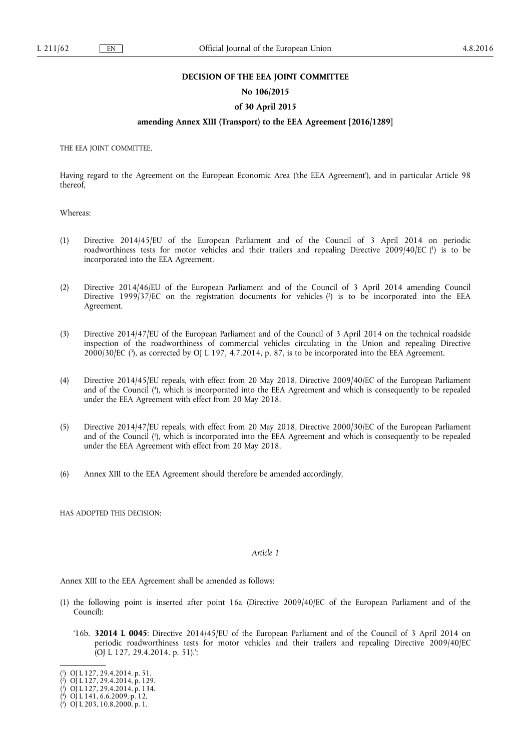#### **DECISION OF THE EEA JOINT COMMITTEE**

#### **No 106/2015**

## **of 30 April 2015**

## **amending Annex XIII (Transport) to the EEA Agreement [2016/1289]**

THE EEA JOINT COMMITTEE,

Having regard to the Agreement on the European Economic Area ('the EEA Agreement'), and in particular Article 98 thereof,

Whereas:

- (1) Directive 2014/45/EU of the European Parliament and of the Council of 3 April 2014 on periodic roadworthiness tests for motor vehicles and their trailers and repealing Directive 2009/40/EC ( 1 ) is to be incorporated into the EEA Agreement.
- (2) Directive 2014/46/EU of the European Parliament and of the Council of 3 April 2014 amending Council Directive 1999/37/EC on the registration documents for vehicles ( 2 ) is to be incorporated into the EEA Agreement.
- (3) Directive 2014/47/EU of the European Parliament and of the Council of 3 April 2014 on the technical roadside inspection of the roadworthiness of commercial vehicles circulating in the Union and repealing Directive 2000/30/EC (3), as corrected by OJ L 197, 4.7.2014, p. 87, is to be incorporated into the EEA Agreement.
- (4) Directive 2014/45/EU repeals, with effect from 20 May 2018, Directive 2009/40/EC of the European Parliament and of the Council ( 4 ), which is incorporated into the EEA Agreement and which is consequently to be repealed under the EEA Agreement with effect from 20 May 2018.
- (5) Directive 2014/47/EU repeals, with effect from 20 May 2018, Directive 2000/30/EC of the European Parliament and of the Council ( 5 ), which is incorporated into the EEA Agreement and which is consequently to be repealed under the EEA Agreement with effect from 20 May 2018.
- (6) Annex XIII to the EEA Agreement should therefore be amended accordingly,

HAS ADOPTED THIS DECISION:

#### *Article 1*

Annex XIII to the EEA Agreement shall be amended as follows:

- (1) the following point is inserted after point 16a (Directive 2009/40/EC of the European Parliament and of the Council):
	- '16b. **32014 L 0045**: Directive 2014/45/EU of the European Parliament and of the Council of 3 April 2014 on periodic roadworthiness tests for motor vehicles and their trailers and repealing Directive 2009/40/EC (OJ L 127, 29.4.2014. p. 51).';

<sup>(</sup> 1 ) OJ L 127, 29.4.2014. p. 51.

<sup>(</sup> 2 ) OJ L 127, 29.4.2014, p. 129.

<sup>(</sup> 3 ) OJ L 127, 29.4.2014, p. 134.

<sup>(</sup> 4 ) OJ L 141, 6.6.2009, p. 12.

<sup>(</sup> 5 ) OJ L 203, 10.8.2000, p. 1.